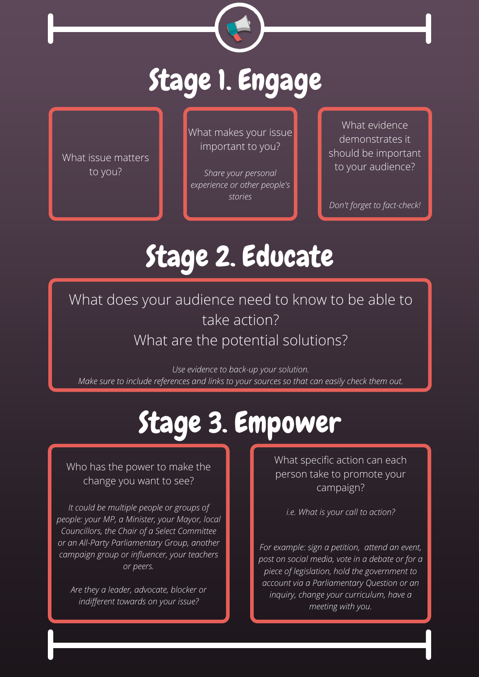What makes your issue important to you?

*Share your personal experience or other people's stories*

What issue matters to you?

What does your audience need to know to be able to take action? What are the potential solutions?

What evidence demonstrates it should be important to your audience?

*Don't forget to fact-check!*



# Stage 1. Engage

# Stage 2. Educate

## Stage 3. Empower

What specific action can each person take to promote your campaign?

*i.e. What is your call to action?*

*For example: sign a petition, attend an event, post on social media, vote in a debate or for a piece of legislation, hold the government to account via a Parliamentary Question or an inquiry, change your curriculum, have a meeting with you.*

Who has the power to make the change you want to see?

*It could be multiple people or groups of people: your MP, a Minister, your Mayor, local Councillors, the Chair of a Select Committee or an All-Party Parliamentary Group, another campaign group or influencer, your teachers or peers.*

*Are they a leader, advocate, blocker or indifferent towards on your issue?*